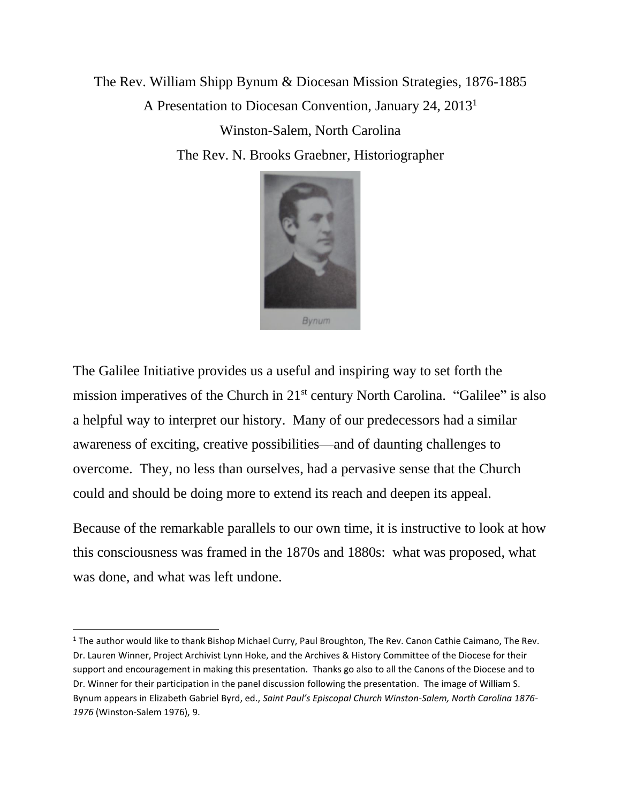The Rev. William Shipp Bynum & Diocesan Mission Strategies, 1876-1885 A Presentation to Diocesan Convention, January 24, 2013<sup>1</sup> Winston-Salem, North Carolina The Rev. N. Brooks Graebner, Historiographer



The Galilee Initiative provides us a useful and inspiring way to set forth the mission imperatives of the Church in 21st century North Carolina. "Galilee" is also a helpful way to interpret our history. Many of our predecessors had a similar awareness of exciting, creative possibilities—and of daunting challenges to overcome. They, no less than ourselves, had a pervasive sense that the Church could and should be doing more to extend its reach and deepen its appeal.

Because of the remarkable parallels to our own time, it is instructive to look at how this consciousness was framed in the 1870s and 1880s: what was proposed, what was done, and what was left undone.

<sup>&</sup>lt;sup>1</sup> The author would like to thank Bishop Michael Curry, Paul Broughton, The Rev. Canon Cathie Caimano, The Rev. Dr. Lauren Winner, Project Archivist Lynn Hoke, and the Archives & History Committee of the Diocese for their support and encouragement in making this presentation. Thanks go also to all the Canons of the Diocese and to Dr. Winner for their participation in the panel discussion following the presentation. The image of William S. Bynum appears in Elizabeth Gabriel Byrd, ed., *Saint Paul's Episcopal Church Winston-Salem, North Carolina 1876- 1976* (Winston-Salem 1976), 9.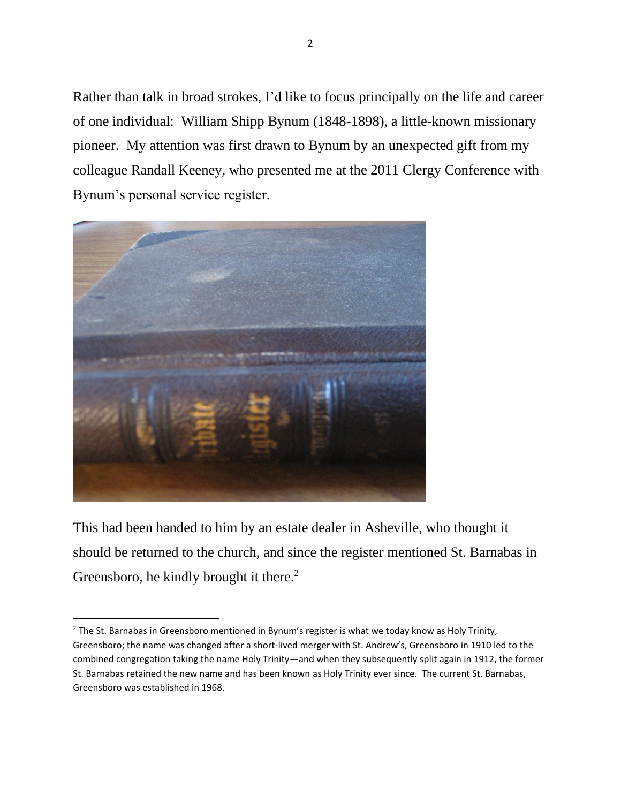Rather than talk in broad strokes, I'd like to focus principally on the life and career of one individual: William Shipp Bynum (1848-1898), a little-known missionary pioneer. My attention was first drawn to Bynum by an unexpected gift from my colleague Randall Keeney, who presented me at the 2011 Clergy Conference with Bynum's personal service register.



This had been handed to him by an estate dealer in Asheville, who thought it should be returned to the church, and since the register mentioned St. Barnabas in Greensboro, he kindly brought it there.<sup>2</sup>

<sup>&</sup>lt;sup>2</sup> The St. Barnabas in Greensboro mentioned in Bynum's register is what we today know as Holy Trinity, Greensboro; the name was changed after a short-lived merger with St. Andrew's, Greensboro in 1910 led to the combined congregation taking the name Holy Trinity—and when they subsequently split again in 1912, the former St. Barnabas retained the new name and has been known as Holy Trinity ever since. The current St. Barnabas, Greensboro was established in 1968.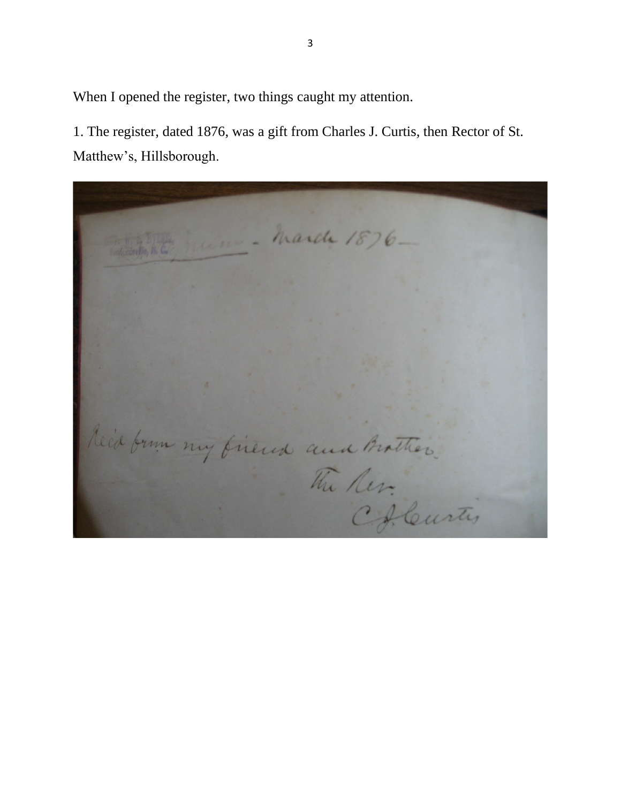When I opened the register, two things caught my attention.

1. The register, dated 1876, was a gift from Charles J. Curtis, then Rector of St. Matthew's, Hillsborough.

- March 1876-Reid from my firend and Brother. Chleurtis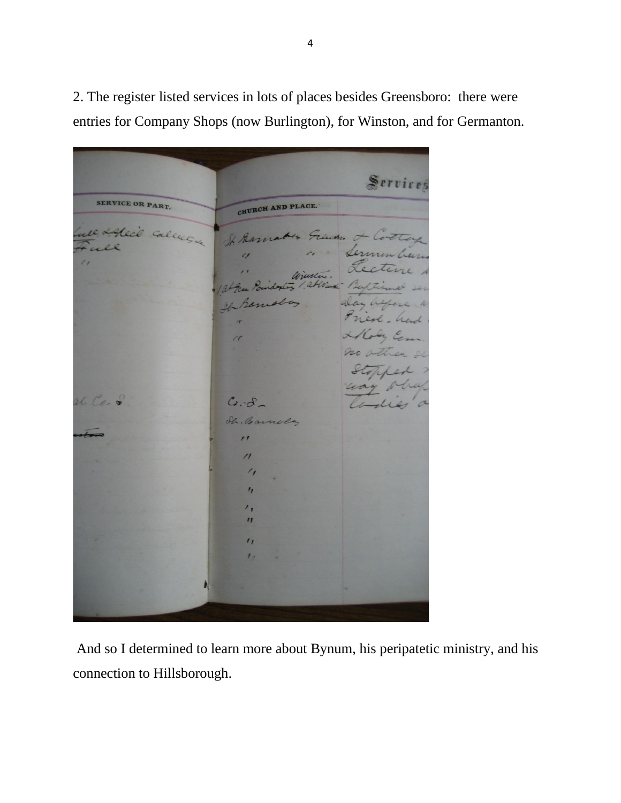Servires SERVICE OR PART. CHURCH AND PLACE. Alec'd Calle Green. le Bass Sermin Le  $\epsilon$ etem Wiester. attor alay before Ganera Treal - had Alloly Co no ather a Stopp rt Co. o  $C.-d$ Sh. Barnola  $\overline{\mathbf{r}}$  $\prime$  $\prime$  $\prime_{1}$  $^{\prime}$  $\eta$  $\mathbf{u}$  $\iota$ 

2. The register listed services in lots of places besides Greensboro: there were entries for Company Shops (now Burlington), for Winston, and for Germanton.

And so I determined to learn more about Bynum, his peripatetic ministry, and his connection to Hillsborough.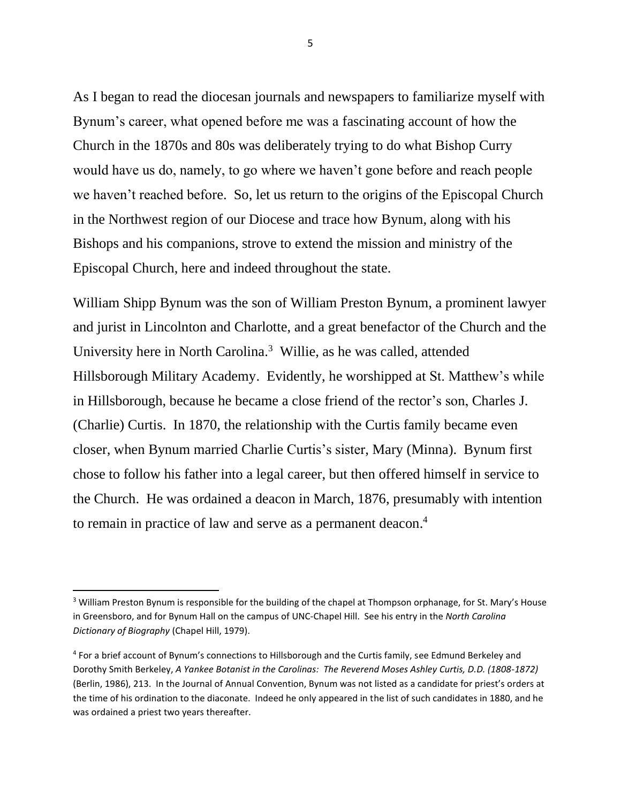As I began to read the diocesan journals and newspapers to familiarize myself with Bynum's career, what opened before me was a fascinating account of how the Church in the 1870s and 80s was deliberately trying to do what Bishop Curry would have us do, namely, to go where we haven't gone before and reach people we haven't reached before. So, let us return to the origins of the Episcopal Church in the Northwest region of our Diocese and trace how Bynum, along with his Bishops and his companions, strove to extend the mission and ministry of the Episcopal Church, here and indeed throughout the state.

William Shipp Bynum was the son of William Preston Bynum, a prominent lawyer and jurist in Lincolnton and Charlotte, and a great benefactor of the Church and the University here in North Carolina.<sup>3</sup> Willie, as he was called, attended Hillsborough Military Academy. Evidently, he worshipped at St. Matthew's while in Hillsborough, because he became a close friend of the rector's son, Charles J. (Charlie) Curtis. In 1870, the relationship with the Curtis family became even closer, when Bynum married Charlie Curtis's sister, Mary (Minna). Bynum first chose to follow his father into a legal career, but then offered himself in service to the Church. He was ordained a deacon in March, 1876, presumably with intention to remain in practice of law and serve as a permanent deacon. 4

<sup>&</sup>lt;sup>3</sup> William Preston Bynum is responsible for the building of the chapel at Thompson orphanage, for St. Mary's House in Greensboro, and for Bynum Hall on the campus of UNC-Chapel Hill. See his entry in the *North Carolina Dictionary of Biography* (Chapel Hill, 1979).

<sup>&</sup>lt;sup>4</sup> For a brief account of Bynum's connections to Hillsborough and the Curtis family, see Edmund Berkeley and Dorothy Smith Berkeley, *A Yankee Botanist in the Carolinas: The Reverend Moses Ashley Curtis, D.D. (1808-1872)*  (Berlin, 1986), 213. In the Journal of Annual Convention, Bynum was not listed as a candidate for priest's orders at the time of his ordination to the diaconate. Indeed he only appeared in the list of such candidates in 1880, and he was ordained a priest two years thereafter.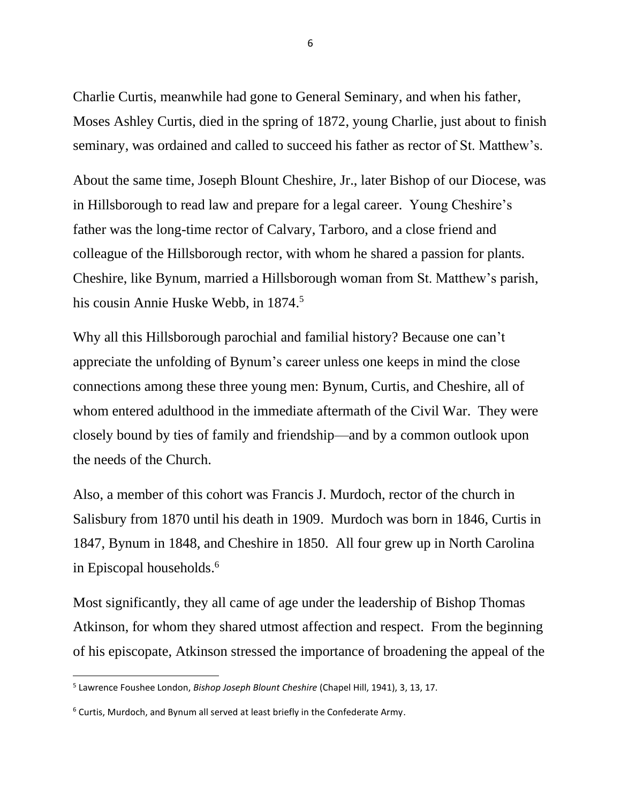Charlie Curtis, meanwhile had gone to General Seminary, and when his father, Moses Ashley Curtis, died in the spring of 1872, young Charlie, just about to finish seminary, was ordained and called to succeed his father as rector of St. Matthew's.

About the same time, Joseph Blount Cheshire, Jr., later Bishop of our Diocese, was in Hillsborough to read law and prepare for a legal career. Young Cheshire's father was the long-time rector of Calvary, Tarboro, and a close friend and colleague of the Hillsborough rector, with whom he shared a passion for plants. Cheshire, like Bynum, married a Hillsborough woman from St. Matthew's parish, his cousin Annie Huske Webb, in 1874. 5

Why all this Hillsborough parochial and familial history? Because one can't appreciate the unfolding of Bynum's career unless one keeps in mind the close connections among these three young men: Bynum, Curtis, and Cheshire, all of whom entered adulthood in the immediate aftermath of the Civil War. They were closely bound by ties of family and friendship—and by a common outlook upon the needs of the Church.

Also, a member of this cohort was Francis J. Murdoch, rector of the church in Salisbury from 1870 until his death in 1909. Murdoch was born in 1846, Curtis in 1847, Bynum in 1848, and Cheshire in 1850. All four grew up in North Carolina in Episcopal households. 6

Most significantly, they all came of age under the leadership of Bishop Thomas Atkinson, for whom they shared utmost affection and respect. From the beginning of his episcopate, Atkinson stressed the importance of broadening the appeal of the

<sup>5</sup> Lawrence Foushee London, *Bishop Joseph Blount Cheshire* (Chapel Hill, 1941), 3, 13, 17.

 $6$  Curtis, Murdoch, and Bynum all served at least briefly in the Confederate Army.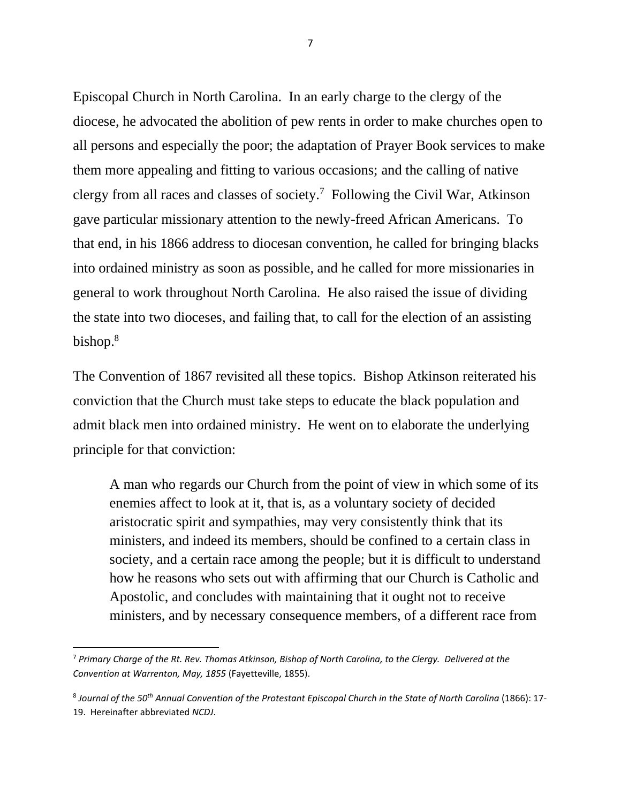Episcopal Church in North Carolina. In an early charge to the clergy of the diocese, he advocated the abolition of pew rents in order to make churches open to all persons and especially the poor; the adaptation of Prayer Book services to make them more appealing and fitting to various occasions; and the calling of native clergy from all races and classes of society.<sup>7</sup> Following the Civil War, Atkinson gave particular missionary attention to the newly-freed African Americans. To that end, in his 1866 address to diocesan convention, he called for bringing blacks into ordained ministry as soon as possible, and he called for more missionaries in general to work throughout North Carolina. He also raised the issue of dividing the state into two dioceses, and failing that, to call for the election of an assisting bishop. 8

The Convention of 1867 revisited all these topics. Bishop Atkinson reiterated his conviction that the Church must take steps to educate the black population and admit black men into ordained ministry. He went on to elaborate the underlying principle for that conviction:

A man who regards our Church from the point of view in which some of its enemies affect to look at it, that is, as a voluntary society of decided aristocratic spirit and sympathies, may very consistently think that its ministers, and indeed its members, should be confined to a certain class in society, and a certain race among the people; but it is difficult to understand how he reasons who sets out with affirming that our Church is Catholic and Apostolic, and concludes with maintaining that it ought not to receive ministers, and by necessary consequence members, of a different race from

<sup>7</sup> *Primary Charge of the Rt. Rev. Thomas Atkinson, Bishop of North Carolina, to the Clergy. Delivered at the Convention at Warrenton, May, 1855* (Fayetteville, 1855).

<sup>8</sup> *Journal of the 50th Annual Convention of the Protestant Episcopal Church in the State of North Carolina* (1866): 17- 19. Hereinafter abbreviated *NCDJ*.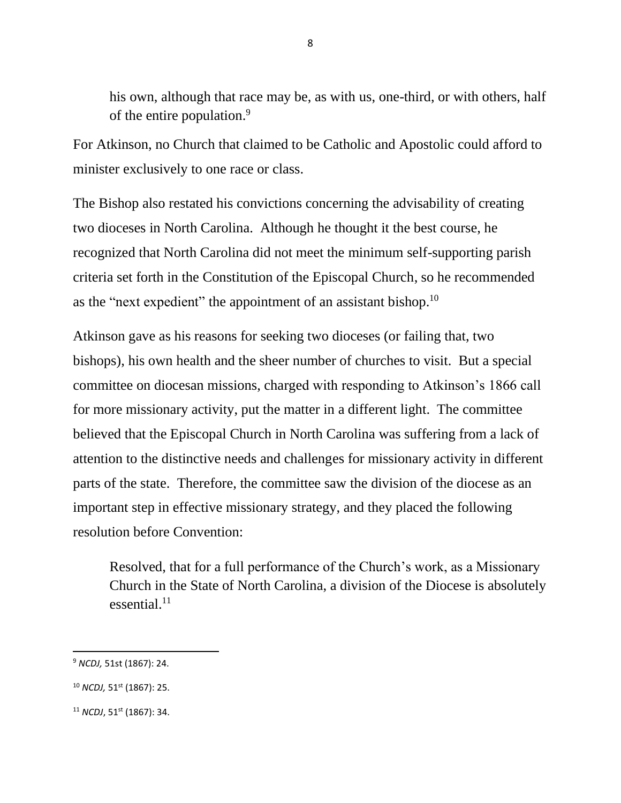his own, although that race may be, as with us, one-third, or with others, half of the entire population.<sup>9</sup>

For Atkinson, no Church that claimed to be Catholic and Apostolic could afford to minister exclusively to one race or class.

The Bishop also restated his convictions concerning the advisability of creating two dioceses in North Carolina. Although he thought it the best course, he recognized that North Carolina did not meet the minimum self-supporting parish criteria set forth in the Constitution of the Episcopal Church, so he recommended as the "next expedient" the appointment of an assistant bishop.<sup>10</sup>

Atkinson gave as his reasons for seeking two dioceses (or failing that, two bishops), his own health and the sheer number of churches to visit. But a special committee on diocesan missions, charged with responding to Atkinson's 1866 call for more missionary activity, put the matter in a different light. The committee believed that the Episcopal Church in North Carolina was suffering from a lack of attention to the distinctive needs and challenges for missionary activity in different parts of the state. Therefore, the committee saw the division of the diocese as an important step in effective missionary strategy, and they placed the following resolution before Convention:

Resolved, that for a full performance of the Church's work, as a Missionary Church in the State of North Carolina, a division of the Diocese is absolutely essential.<sup>11</sup>

<sup>9</sup> *NCDJ,* 51st (1867): 24.

<sup>10</sup> *NCDJ,* 51st (1867): 25.

<sup>&</sup>lt;sup>11</sup> *NCDJ*, 51<sup>st</sup> (1867): 34.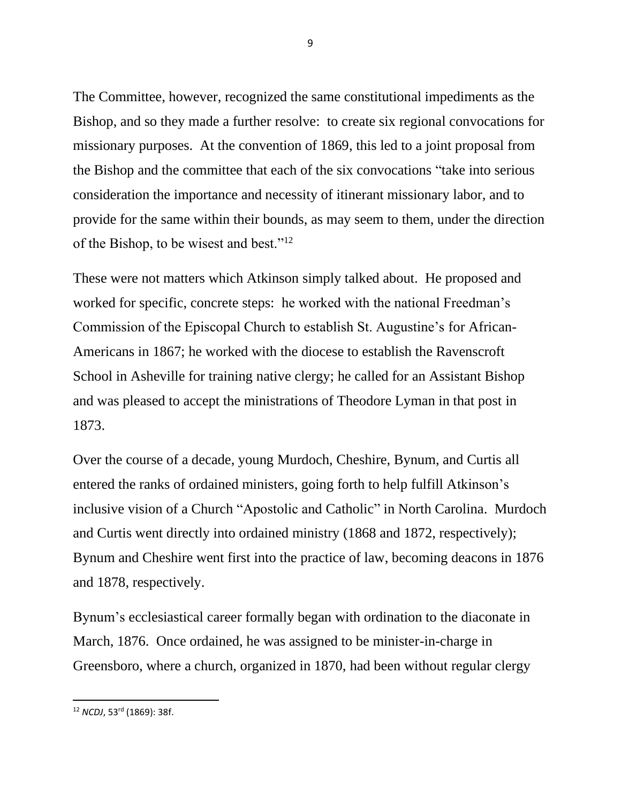The Committee, however, recognized the same constitutional impediments as the Bishop, and so they made a further resolve: to create six regional convocations for missionary purposes. At the convention of 1869, this led to a joint proposal from the Bishop and the committee that each of the six convocations "take into serious consideration the importance and necessity of itinerant missionary labor, and to provide for the same within their bounds, as may seem to them, under the direction of the Bishop, to be wisest and best."<sup>12</sup>

These were not matters which Atkinson simply talked about. He proposed and worked for specific, concrete steps: he worked with the national Freedman's Commission of the Episcopal Church to establish St. Augustine's for African-Americans in 1867; he worked with the diocese to establish the Ravenscroft School in Asheville for training native clergy; he called for an Assistant Bishop and was pleased to accept the ministrations of Theodore Lyman in that post in 1873.

Over the course of a decade, young Murdoch, Cheshire, Bynum, and Curtis all entered the ranks of ordained ministers, going forth to help fulfill Atkinson's inclusive vision of a Church "Apostolic and Catholic" in North Carolina. Murdoch and Curtis went directly into ordained ministry (1868 and 1872, respectively); Bynum and Cheshire went first into the practice of law, becoming deacons in 1876 and 1878, respectively.

Bynum's ecclesiastical career formally began with ordination to the diaconate in March, 1876. Once ordained, he was assigned to be minister-in-charge in Greensboro, where a church, organized in 1870, had been without regular clergy

<sup>12</sup> *NCDJ*, 53rd (1869): 38f.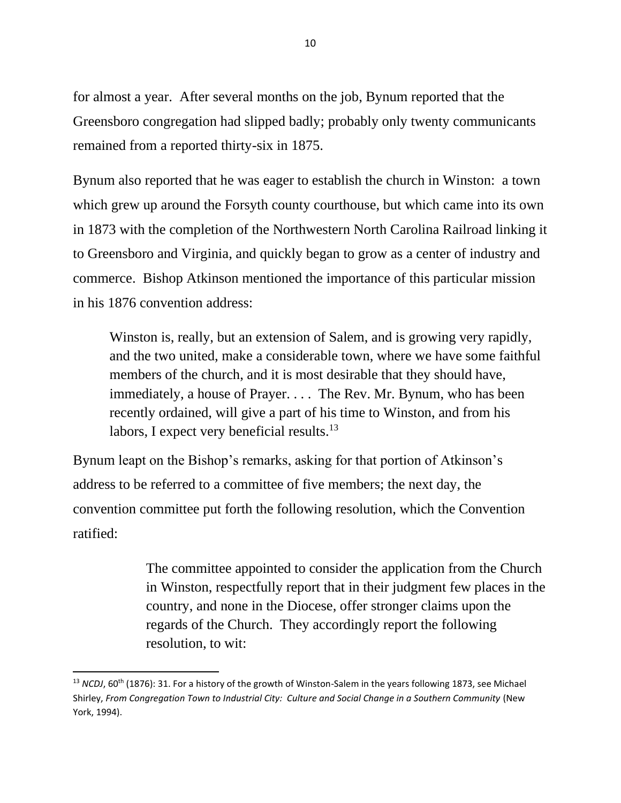for almost a year. After several months on the job, Bynum reported that the Greensboro congregation had slipped badly; probably only twenty communicants remained from a reported thirty-six in 1875.

Bynum also reported that he was eager to establish the church in Winston: a town which grew up around the Forsyth county courthouse, but which came into its own in 1873 with the completion of the Northwestern North Carolina Railroad linking it to Greensboro and Virginia, and quickly began to grow as a center of industry and commerce. Bishop Atkinson mentioned the importance of this particular mission in his 1876 convention address:

Winston is, really, but an extension of Salem, and is growing very rapidly, and the two united, make a considerable town, where we have some faithful members of the church, and it is most desirable that they should have, immediately, a house of Prayer. . . . The Rev. Mr. Bynum, who has been recently ordained, will give a part of his time to Winston, and from his labors, I expect very beneficial results.<sup>13</sup>

Bynum leapt on the Bishop's remarks, asking for that portion of Atkinson's address to be referred to a committee of five members; the next day, the convention committee put forth the following resolution, which the Convention ratified:

> The committee appointed to consider the application from the Church in Winston, respectfully report that in their judgment few places in the country, and none in the Diocese, offer stronger claims upon the regards of the Church. They accordingly report the following resolution, to wit:

<sup>&</sup>lt;sup>13</sup> *NCDJ*, 60<sup>th</sup> (1876): 31. For a history of the growth of Winston-Salem in the years following 1873, see Michael Shirley, From Congregation Town to Industrial City: Culture and Social Change in a Southern Community (New York, 1994).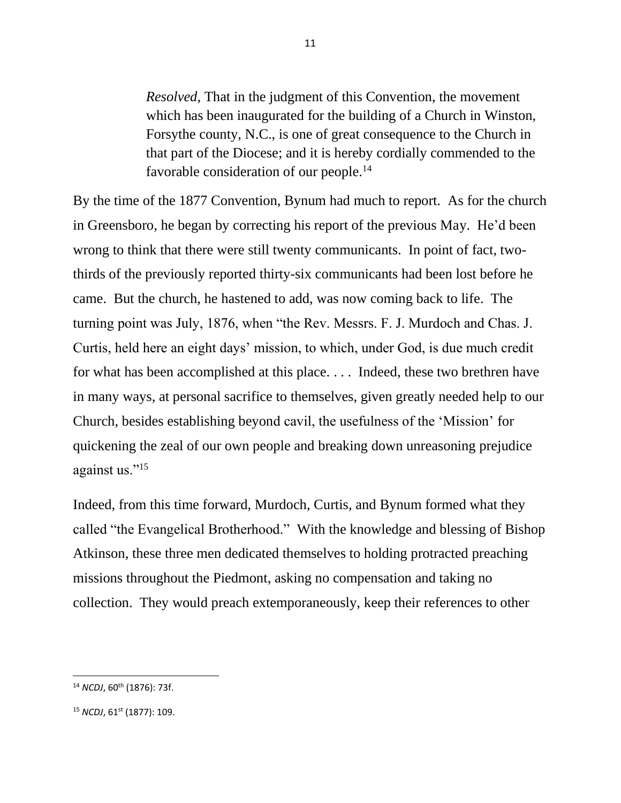*Resolved,* That in the judgment of this Convention, the movement which has been inaugurated for the building of a Church in Winston, Forsythe county, N.C., is one of great consequence to the Church in that part of the Diocese; and it is hereby cordially commended to the favorable consideration of our people.<sup>14</sup>

By the time of the 1877 Convention, Bynum had much to report. As for the church in Greensboro, he began by correcting his report of the previous May. He'd been wrong to think that there were still twenty communicants. In point of fact, twothirds of the previously reported thirty-six communicants had been lost before he came. But the church, he hastened to add, was now coming back to life. The turning point was July, 1876, when "the Rev. Messrs. F. J. Murdoch and Chas. J. Curtis, held here an eight days' mission, to which, under God, is due much credit for what has been accomplished at this place. . . . Indeed, these two brethren have in many ways, at personal sacrifice to themselves, given greatly needed help to our Church, besides establishing beyond cavil, the usefulness of the 'Mission' for quickening the zeal of our own people and breaking down unreasoning prejudice against us."<sup>15</sup>

Indeed, from this time forward, Murdoch, Curtis, and Bynum formed what they called "the Evangelical Brotherhood." With the knowledge and blessing of Bishop Atkinson, these three men dedicated themselves to holding protracted preaching missions throughout the Piedmont, asking no compensation and taking no collection. They would preach extemporaneously, keep their references to other

<sup>14</sup> *NCDJ*, 60th (1876): 73f.

<sup>&</sup>lt;sup>15</sup> *NCDJ*, 61<sup>st</sup> (1877): 109.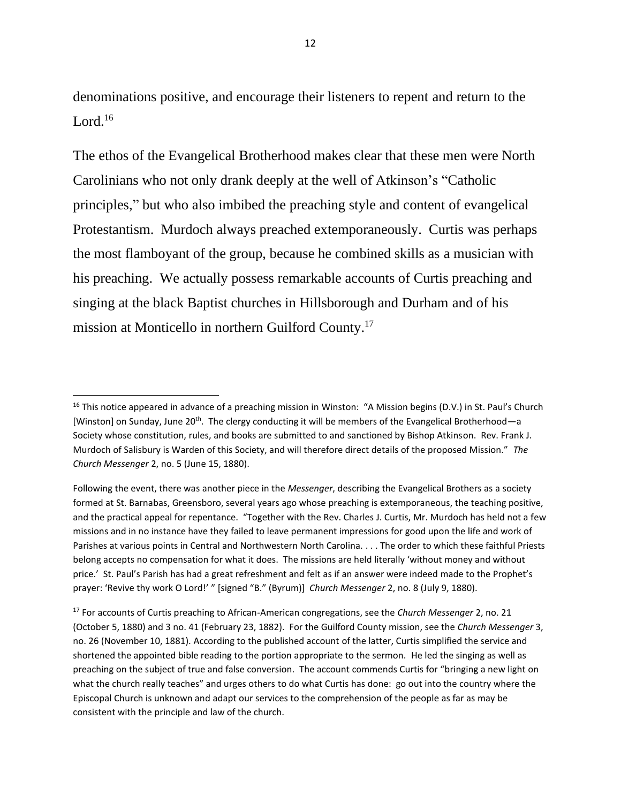denominations positive, and encourage their listeners to repent and return to the Lord. 16

The ethos of the Evangelical Brotherhood makes clear that these men were North Carolinians who not only drank deeply at the well of Atkinson's "Catholic principles," but who also imbibed the preaching style and content of evangelical Protestantism. Murdoch always preached extemporaneously. Curtis was perhaps the most flamboyant of the group, because he combined skills as a musician with his preaching. We actually possess remarkable accounts of Curtis preaching and singing at the black Baptist churches in Hillsborough and Durham and of his mission at Monticello in northern Guilford County. 17

Following the event, there was another piece in the *Messenger*, describing the Evangelical Brothers as a society formed at St. Barnabas, Greensboro, several years ago whose preaching is extemporaneous, the teaching positive, and the practical appeal for repentance. "Together with the Rev. Charles J. Curtis, Mr. Murdoch has held not a few missions and in no instance have they failed to leave permanent impressions for good upon the life and work of Parishes at various points in Central and Northwestern North Carolina. . . . The order to which these faithful Priests belong accepts no compensation for what it does. The missions are held literally 'without money and without price.' St. Paul's Parish has had a great refreshment and felt as if an answer were indeed made to the Prophet's prayer: 'Revive thy work O Lord!' " [signed "B." (Byrum)] *Church Messenger* 2, no. 8 (July 9, 1880).

<sup>17</sup> For accounts of Curtis preaching to African-American congregations, see the *Church Messenger* 2, no. 21 (October 5, 1880) and 3 no. 41 (February 23, 1882). For the Guilford County mission, see the *Church Messenger* 3, no. 26 (November 10, 1881). According to the published account of the latter, Curtis simplified the service and shortened the appointed bible reading to the portion appropriate to the sermon. He led the singing as well as preaching on the subject of true and false conversion. The account commends Curtis for "bringing a new light on what the church really teaches" and urges others to do what Curtis has done: go out into the country where the Episcopal Church is unknown and adapt our services to the comprehension of the people as far as may be consistent with the principle and law of the church.

<sup>&</sup>lt;sup>16</sup> This notice appeared in advance of a preaching mission in Winston: "A Mission begins (D.V.) in St. Paul's Church [Winston] on Sunday, June 20<sup>th</sup>. The clergy conducting it will be members of the Evangelical Brotherhood—a Society whose constitution, rules, and books are submitted to and sanctioned by Bishop Atkinson. Rev. Frank J. Murdoch of Salisbury is Warden of this Society, and will therefore direct details of the proposed Mission." *The Church Messenger* 2, no. 5 (June 15, 1880).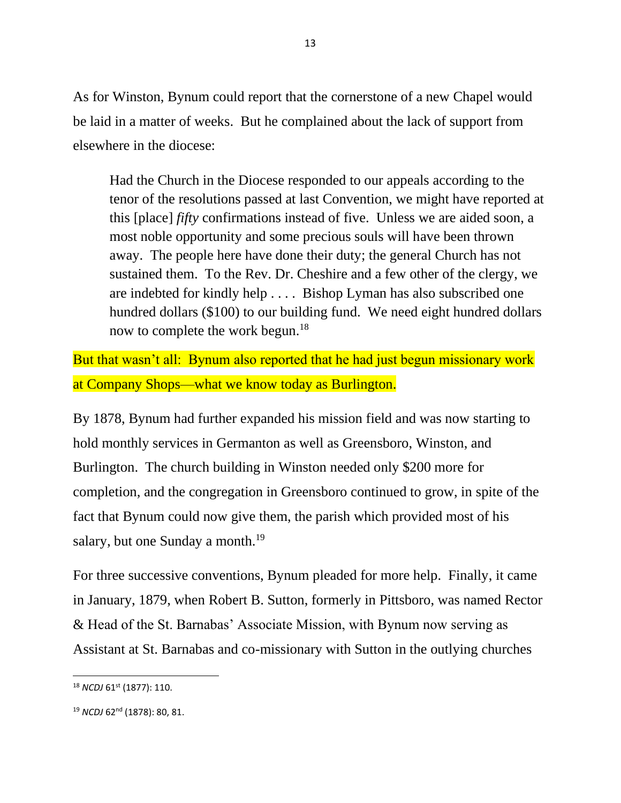As for Winston, Bynum could report that the cornerstone of a new Chapel would be laid in a matter of weeks. But he complained about the lack of support from elsewhere in the diocese:

Had the Church in the Diocese responded to our appeals according to the tenor of the resolutions passed at last Convention, we might have reported at this [place] *fifty* confirmations instead of five. Unless we are aided soon, a most noble opportunity and some precious souls will have been thrown away. The people here have done their duty; the general Church has not sustained them. To the Rev. Dr. Cheshire and a few other of the clergy, we are indebted for kindly help . . . . Bishop Lyman has also subscribed one hundred dollars (\$100) to our building fund. We need eight hundred dollars now to complete the work begun.<sup>18</sup>

But that wasn't all: Bynum also reported that he had just begun missionary work at Company Shops—what we know today as Burlington.

By 1878, Bynum had further expanded his mission field and was now starting to hold monthly services in Germanton as well as Greensboro, Winston, and Burlington. The church building in Winston needed only \$200 more for completion, and the congregation in Greensboro continued to grow, in spite of the fact that Bynum could now give them, the parish which provided most of his salary, but one Sunday a month.<sup>19</sup>

For three successive conventions, Bynum pleaded for more help. Finally, it came in January, 1879, when Robert B. Sutton, formerly in Pittsboro, was named Rector & Head of the St. Barnabas' Associate Mission, with Bynum now serving as Assistant at St. Barnabas and co-missionary with Sutton in the outlying churches

<sup>&</sup>lt;sup>18</sup> *NCDJ* 61<sup>st</sup> (1877): 110.

<sup>19</sup> *NCDJ* 62nd (1878): 80, 81.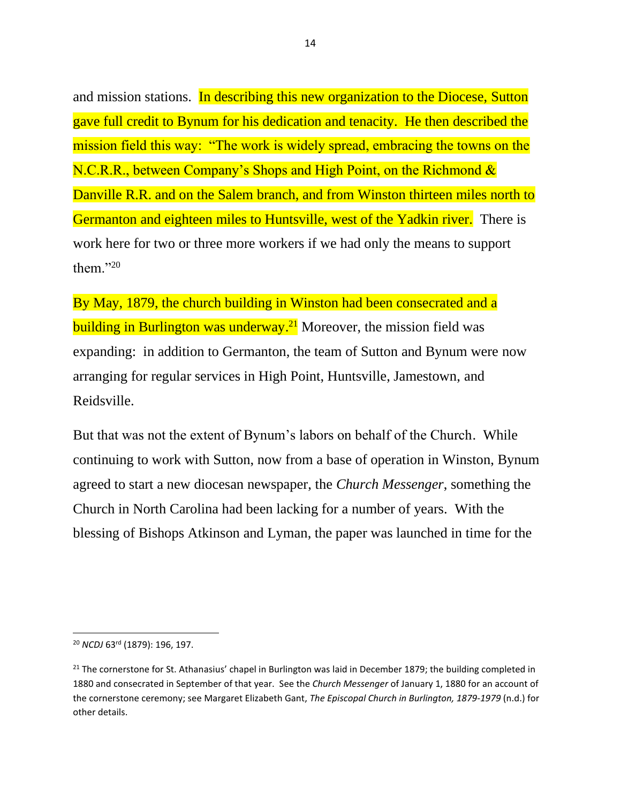and mission stations. In describing this new organization to the Diocese, Sutton gave full credit to Bynum for his dedication and tenacity. He then described the mission field this way: "The work is widely spread, embracing the towns on the N.C.R.R., between Company's Shops and High Point, on the Richmond & Danville R.R. and on the Salem branch, and from Winston thirteen miles north to Germanton and eighteen miles to Huntsville, west of the Yadkin river. There is work here for two or three more workers if we had only the means to support them." $^{20}$ 

By May, 1879, the church building in Winston had been consecrated and a building in Burlington was underway.<sup>21</sup> Moreover, the mission field was expanding: in addition to Germanton, the team of Sutton and Bynum were now arranging for regular services in High Point, Huntsville, Jamestown, and Reidsville.

But that was not the extent of Bynum's labors on behalf of the Church. While continuing to work with Sutton, now from a base of operation in Winston, Bynum agreed to start a new diocesan newspaper, the *Church Messenger*, something the Church in North Carolina had been lacking for a number of years. With the blessing of Bishops Atkinson and Lyman, the paper was launched in time for the

<sup>20</sup> *NCDJ* 63rd (1879): 196, 197.

<sup>&</sup>lt;sup>21</sup> The cornerstone for St. Athanasius' chapel in Burlington was laid in December 1879; the building completed in 1880 and consecrated in September of that year. See the *Church Messenger* of January 1, 1880 for an account of the cornerstone ceremony; see Margaret Elizabeth Gant, *The Episcopal Church in Burlington, 1879-1979* (n.d.) for other details.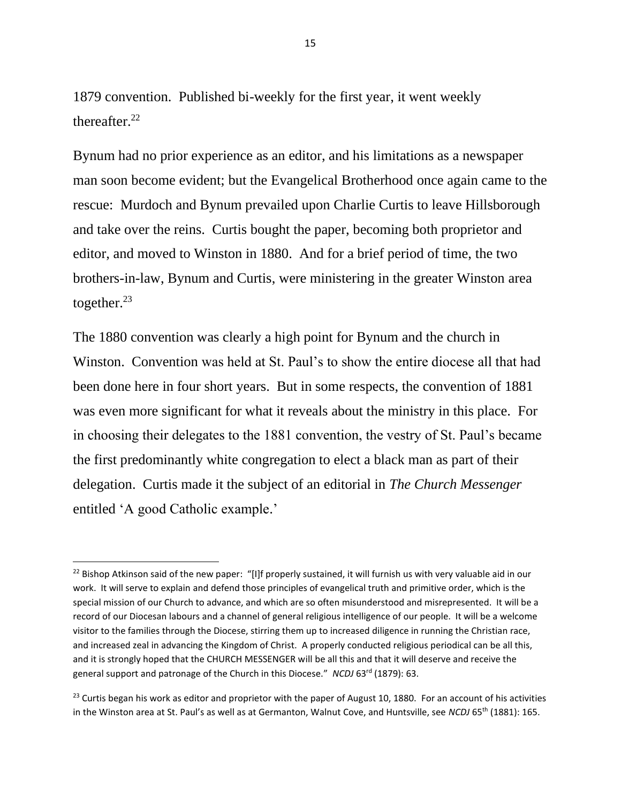1879 convention. Published bi-weekly for the first year, it went weekly thereafter. 22

Bynum had no prior experience as an editor, and his limitations as a newspaper man soon become evident; but the Evangelical Brotherhood once again came to the rescue: Murdoch and Bynum prevailed upon Charlie Curtis to leave Hillsborough and take over the reins. Curtis bought the paper, becoming both proprietor and editor, and moved to Winston in 1880. And for a brief period of time, the two brothers-in-law, Bynum and Curtis, were ministering in the greater Winston area together. $23$ 

The 1880 convention was clearly a high point for Bynum and the church in Winston. Convention was held at St. Paul's to show the entire diocese all that had been done here in four short years. But in some respects, the convention of 1881 was even more significant for what it reveals about the ministry in this place. For in choosing their delegates to the 1881 convention, the vestry of St. Paul's became the first predominantly white congregation to elect a black man as part of their delegation. Curtis made it the subject of an editorial in *The Church Messenger* entitled 'A good Catholic example.'

<sup>&</sup>lt;sup>22</sup> Bishop Atkinson said of the new paper: "[I]f properly sustained, it will furnish us with very valuable aid in our work. It will serve to explain and defend those principles of evangelical truth and primitive order, which is the special mission of our Church to advance, and which are so often misunderstood and misrepresented. It will be a record of our Diocesan labours and a channel of general religious intelligence of our people. It will be a welcome visitor to the families through the Diocese, stirring them up to increased diligence in running the Christian race, and increased zeal in advancing the Kingdom of Christ. A properly conducted religious periodical can be all this, and it is strongly hoped that the CHURCH MESSENGER will be all this and that it will deserve and receive the general support and patronage of the Church in this Diocese." *NCDJ* 63rd (1879): 63.

<sup>&</sup>lt;sup>23</sup> Curtis began his work as editor and proprietor with the paper of August 10, 1880. For an account of his activities in the Winston area at St. Paul's as well as at Germanton, Walnut Cove, and Huntsville, see *NCDJ* 65th (1881): 165.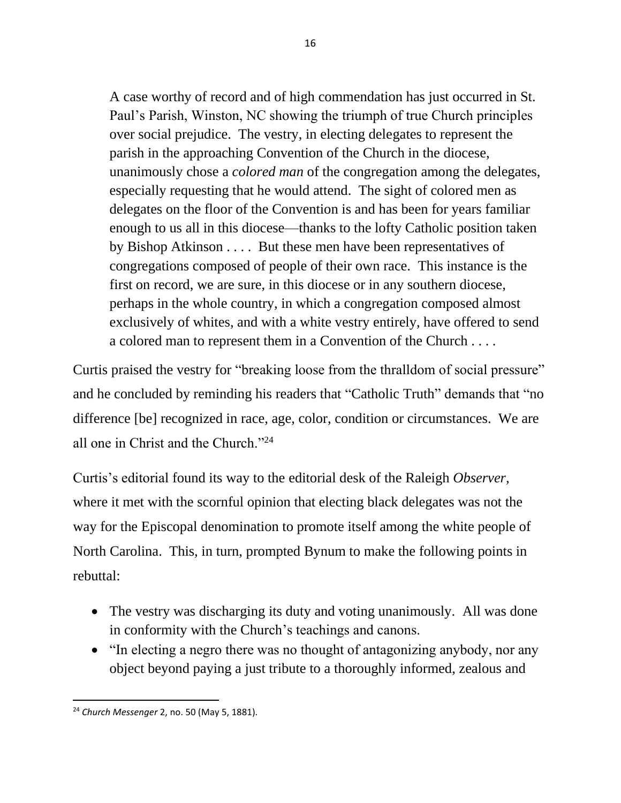A case worthy of record and of high commendation has just occurred in St. Paul's Parish, Winston, NC showing the triumph of true Church principles over social prejudice. The vestry, in electing delegates to represent the parish in the approaching Convention of the Church in the diocese, unanimously chose a *colored man* of the congregation among the delegates, especially requesting that he would attend. The sight of colored men as delegates on the floor of the Convention is and has been for years familiar enough to us all in this diocese—thanks to the lofty Catholic position taken by Bishop Atkinson . . . . But these men have been representatives of congregations composed of people of their own race. This instance is the first on record, we are sure, in this diocese or in any southern diocese, perhaps in the whole country, in which a congregation composed almost exclusively of whites, and with a white vestry entirely, have offered to send a colored man to represent them in a Convention of the Church . . . .

Curtis praised the vestry for "breaking loose from the thralldom of social pressure" and he concluded by reminding his readers that "Catholic Truth" demands that "no difference [be] recognized in race, age, color, condition or circumstances. We are all one in Christ and the Church."<sup>24</sup>

Curtis's editorial found its way to the editorial desk of the Raleigh *Observer*, where it met with the scornful opinion that electing black delegates was not the way for the Episcopal denomination to promote itself among the white people of North Carolina. This, in turn, prompted Bynum to make the following points in rebuttal:

- The vestry was discharging its duty and voting unanimously. All was done in conformity with the Church's teachings and canons.
- "In electing a negro there was no thought of antagonizing anybody, nor any object beyond paying a just tribute to a thoroughly informed, zealous and

<sup>24</sup> *Church Messenger* 2, no. 50 (May 5, 1881).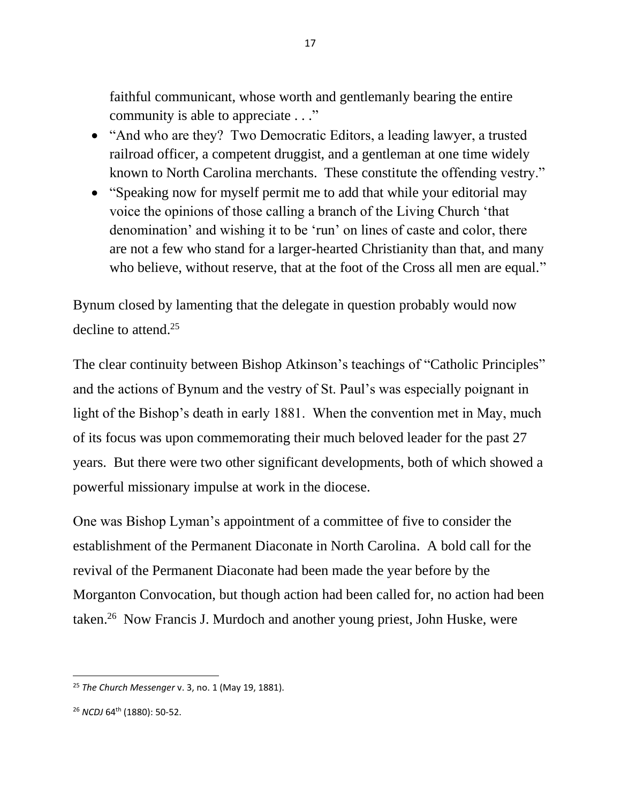faithful communicant, whose worth and gentlemanly bearing the entire community is able to appreciate . . ."

- "And who are they? Two Democratic Editors, a leading lawyer, a trusted railroad officer, a competent druggist, and a gentleman at one time widely known to North Carolina merchants. These constitute the offending vestry."
- "Speaking now for myself permit me to add that while your editorial may voice the opinions of those calling a branch of the Living Church 'that denomination' and wishing it to be 'run' on lines of caste and color, there are not a few who stand for a larger-hearted Christianity than that, and many who believe, without reserve, that at the foot of the Cross all men are equal."

Bynum closed by lamenting that the delegate in question probably would now decline to attend. 25

The clear continuity between Bishop Atkinson's teachings of "Catholic Principles" and the actions of Bynum and the vestry of St. Paul's was especially poignant in light of the Bishop's death in early 1881. When the convention met in May, much of its focus was upon commemorating their much beloved leader for the past 27 years. But there were two other significant developments, both of which showed a powerful missionary impulse at work in the diocese.

One was Bishop Lyman's appointment of a committee of five to consider the establishment of the Permanent Diaconate in North Carolina. A bold call for the revival of the Permanent Diaconate had been made the year before by the Morganton Convocation, but though action had been called for, no action had been taken.<sup>26</sup> Now Francis J. Murdoch and another young priest, John Huske, were

<sup>25</sup> *The Church Messenger* v. 3, no. 1 (May 19, 1881).

<sup>&</sup>lt;sup>26</sup> *NCDJ* 64<sup>th</sup> (1880): 50-52.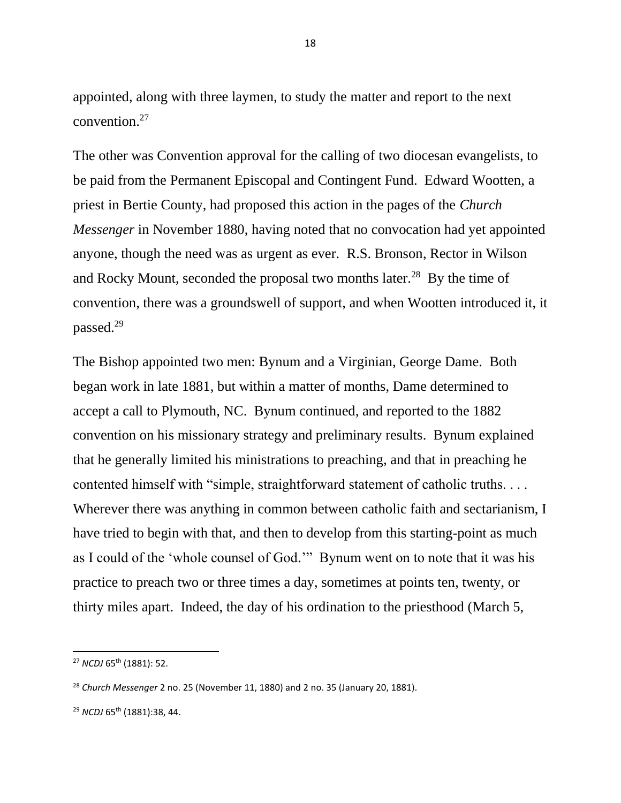appointed, along with three laymen, to study the matter and report to the next convention.<sup>27</sup>

The other was Convention approval for the calling of two diocesan evangelists, to be paid from the Permanent Episcopal and Contingent Fund. Edward Wootten, a priest in Bertie County, had proposed this action in the pages of the *Church Messenger* in November 1880, having noted that no convocation had yet appointed anyone, though the need was as urgent as ever. R.S. Bronson, Rector in Wilson and Rocky Mount, seconded the proposal two months later.<sup>28</sup> By the time of convention, there was a groundswell of support, and when Wootten introduced it, it passed.<sup>29</sup>

The Bishop appointed two men: Bynum and a Virginian, George Dame. Both began work in late 1881, but within a matter of months, Dame determined to accept a call to Plymouth, NC. Bynum continued, and reported to the 1882 convention on his missionary strategy and preliminary results. Bynum explained that he generally limited his ministrations to preaching, and that in preaching he contented himself with "simple, straightforward statement of catholic truths. . . . Wherever there was anything in common between catholic faith and sectarianism, I have tried to begin with that, and then to develop from this starting-point as much as I could of the 'whole counsel of God.'" Bynum went on to note that it was his practice to preach two or three times a day, sometimes at points ten, twenty, or thirty miles apart. Indeed, the day of his ordination to the priesthood (March 5,

<sup>27</sup> *NCDJ* 65th (1881): 52.

<sup>28</sup> *Church Messenger* 2 no. 25 (November 11, 1880) and 2 no. 35 (January 20, 1881).

<sup>29</sup> *NCDJ* 65th (1881):38, 44.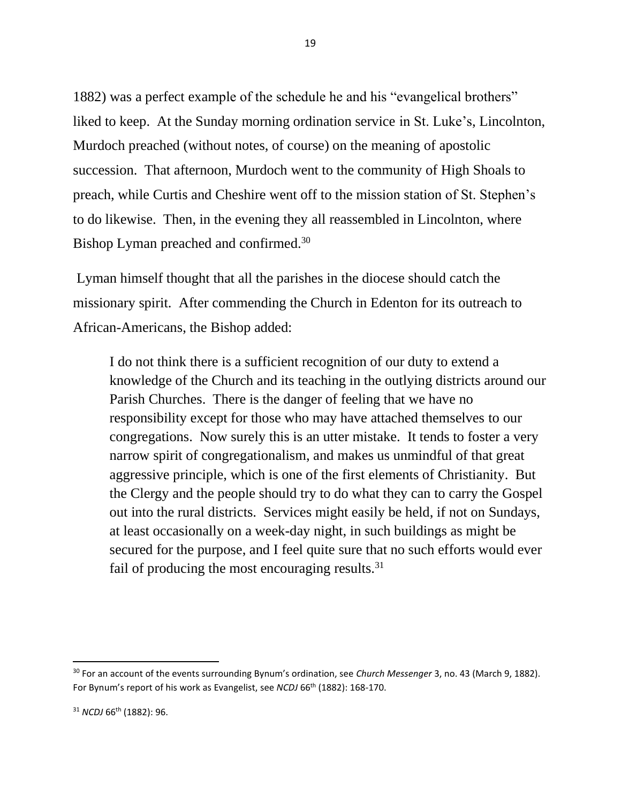1882) was a perfect example of the schedule he and his "evangelical brothers" liked to keep. At the Sunday morning ordination service in St. Luke's, Lincolnton, Murdoch preached (without notes, of course) on the meaning of apostolic succession. That afternoon, Murdoch went to the community of High Shoals to preach, while Curtis and Cheshire went off to the mission station of St. Stephen's to do likewise. Then, in the evening they all reassembled in Lincolnton, where Bishop Lyman preached and confirmed.<sup>30</sup>

Lyman himself thought that all the parishes in the diocese should catch the missionary spirit. After commending the Church in Edenton for its outreach to African-Americans, the Bishop added:

I do not think there is a sufficient recognition of our duty to extend a knowledge of the Church and its teaching in the outlying districts around our Parish Churches. There is the danger of feeling that we have no responsibility except for those who may have attached themselves to our congregations. Now surely this is an utter mistake. It tends to foster a very narrow spirit of congregationalism, and makes us unmindful of that great aggressive principle, which is one of the first elements of Christianity. But the Clergy and the people should try to do what they can to carry the Gospel out into the rural districts. Services might easily be held, if not on Sundays, at least occasionally on a week-day night, in such buildings as might be secured for the purpose, and I feel quite sure that no such efforts would ever fail of producing the most encouraging results.<sup>31</sup>

<sup>30</sup> For an account of the events surrounding Bynum's ordination, see *Church Messenger* 3, no. 43 (March 9, 1882). For Bynum's report of his work as Evangelist, see *NCDJ* 66<sup>th</sup> (1882): 168-170.

<sup>31</sup> *NCDJ* 66th (1882): 96.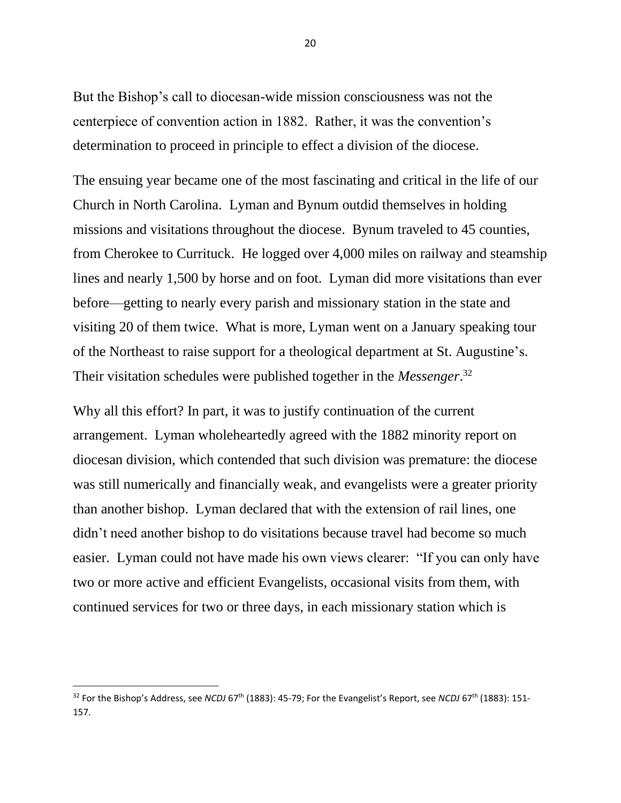But the Bishop's call to diocesan-wide mission consciousness was not the centerpiece of convention action in 1882. Rather, it was the convention's determination to proceed in principle to effect a division of the diocese.

The ensuing year became one of the most fascinating and critical in the life of our Church in North Carolina. Lyman and Bynum outdid themselves in holding missions and visitations throughout the diocese. Bynum traveled to 45 counties, from Cherokee to Currituck. He logged over 4,000 miles on railway and steamship lines and nearly 1,500 by horse and on foot. Lyman did more visitations than ever before—getting to nearly every parish and missionary station in the state and visiting 20 of them twice. What is more, Lyman went on a January speaking tour of the Northeast to raise support for a theological department at St. Augustine's. Their visitation schedules were published together in the *Messenger*. 32

Why all this effort? In part, it was to justify continuation of the current arrangement. Lyman wholeheartedly agreed with the 1882 minority report on diocesan division, which contended that such division was premature: the diocese was still numerically and financially weak, and evangelists were a greater priority than another bishop. Lyman declared that with the extension of rail lines, one didn't need another bishop to do visitations because travel had become so much easier. Lyman could not have made his own views clearer: "If you can only have two or more active and efficient Evangelists, occasional visits from them, with continued services for two or three days, in each missionary station which is

<sup>&</sup>lt;sup>32</sup> For the Bishop's Address, see *NCDJ* 67<sup>th</sup> (1883): 45-79; For the Evangelist's Report, see *NCDJ* 67<sup>th</sup> (1883): 151-157.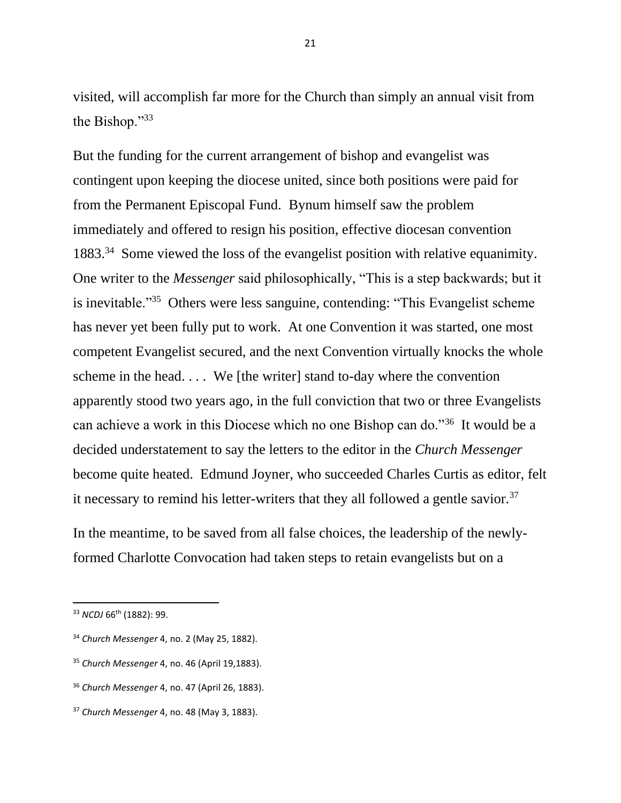visited, will accomplish far more for the Church than simply an annual visit from the Bishop."<sup>33</sup>

But the funding for the current arrangement of bishop and evangelist was contingent upon keeping the diocese united, since both positions were paid for from the Permanent Episcopal Fund. Bynum himself saw the problem immediately and offered to resign his position, effective diocesan convention 1883.<sup>34</sup> Some viewed the loss of the evangelist position with relative equanimity. One writer to the *Messenger* said philosophically, "This is a step backwards; but it is inevitable."<sup>35</sup> Others were less sanguine, contending: "This Evangelist scheme has never yet been fully put to work. At one Convention it was started, one most competent Evangelist secured, and the next Convention virtually knocks the whole scheme in the head. . . . We [the writer] stand to-day where the convention apparently stood two years ago, in the full conviction that two or three Evangelists can achieve a work in this Diocese which no one Bishop can do."<sup>36</sup> It would be a decided understatement to say the letters to the editor in the *Church Messenger* become quite heated. Edmund Joyner, who succeeded Charles Curtis as editor, felt it necessary to remind his letter-writers that they all followed a gentle savior.<sup>37</sup>

In the meantime, to be saved from all false choices, the leadership of the newlyformed Charlotte Convocation had taken steps to retain evangelists but on a

- <sup>34</sup> *Church Messenger* 4, no. 2 (May 25, 1882).
- <sup>35</sup> *Church Messenger* 4, no. 46 (April 19,1883).

<sup>33</sup> *NCDJ* 66th (1882): 99.

<sup>36</sup> *Church Messenger* 4, no. 47 (April 26, 1883).

<sup>37</sup> *Church Messenger* 4, no. 48 (May 3, 1883).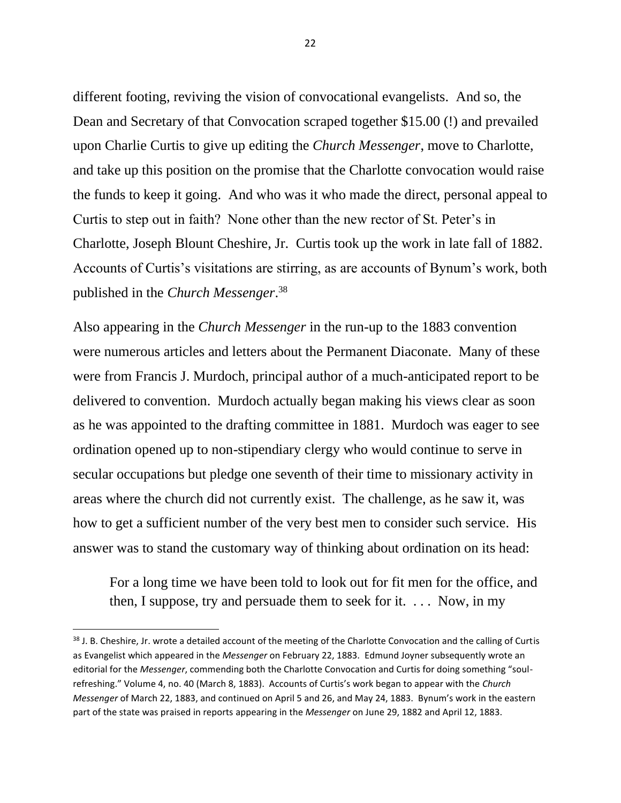different footing, reviving the vision of convocational evangelists. And so, the Dean and Secretary of that Convocation scraped together \$15.00 (!) and prevailed upon Charlie Curtis to give up editing the *Church Messenger*, move to Charlotte, and take up this position on the promise that the Charlotte convocation would raise the funds to keep it going. And who was it who made the direct, personal appeal to Curtis to step out in faith? None other than the new rector of St. Peter's in Charlotte, Joseph Blount Cheshire, Jr. Curtis took up the work in late fall of 1882. Accounts of Curtis's visitations are stirring, as are accounts of Bynum's work, both published in the *Church Messenger*. 38

Also appearing in the *Church Messenger* in the run-up to the 1883 convention were numerous articles and letters about the Permanent Diaconate. Many of these were from Francis J. Murdoch, principal author of a much-anticipated report to be delivered to convention. Murdoch actually began making his views clear as soon as he was appointed to the drafting committee in 1881. Murdoch was eager to see ordination opened up to non-stipendiary clergy who would continue to serve in secular occupations but pledge one seventh of their time to missionary activity in areas where the church did not currently exist. The challenge, as he saw it, was how to get a sufficient number of the very best men to consider such service. His answer was to stand the customary way of thinking about ordination on its head:

For a long time we have been told to look out for fit men for the office, and then, I suppose, try and persuade them to seek for it.  $\ldots$  Now, in my

<sup>38</sup> J. B. Cheshire, Jr. wrote a detailed account of the meeting of the Charlotte Convocation and the calling of Curtis as Evangelist which appeared in the *Messenger* on February 22, 1883. Edmund Joyner subsequently wrote an editorial for the *Messenger*, commending both the Charlotte Convocation and Curtis for doing something "soulrefreshing." Volume 4, no. 40 (March 8, 1883). Accounts of Curtis's work began to appear with the *Church Messenger* of March 22, 1883, and continued on April 5 and 26, and May 24, 1883. Bynum's work in the eastern part of the state was praised in reports appearing in the *Messenger* on June 29, 1882 and April 12, 1883.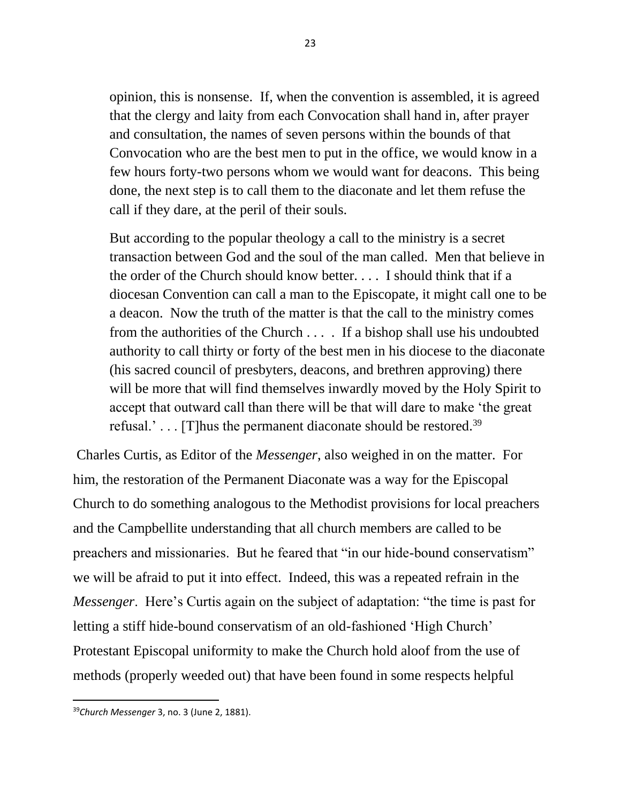opinion, this is nonsense. If, when the convention is assembled, it is agreed that the clergy and laity from each Convocation shall hand in, after prayer and consultation, the names of seven persons within the bounds of that Convocation who are the best men to put in the office, we would know in a few hours forty-two persons whom we would want for deacons. This being done, the next step is to call them to the diaconate and let them refuse the call if they dare, at the peril of their souls.

But according to the popular theology a call to the ministry is a secret transaction between God and the soul of the man called. Men that believe in the order of the Church should know better. . . . I should think that if a diocesan Convention can call a man to the Episcopate, it might call one to be a deacon. Now the truth of the matter is that the call to the ministry comes from the authorities of the Church . . . . If a bishop shall use his undoubted authority to call thirty or forty of the best men in his diocese to the diaconate (his sacred council of presbyters, deacons, and brethren approving) there will be more that will find themselves inwardly moved by the Holy Spirit to accept that outward call than there will be that will dare to make 'the great refusal.'... [T] hus the permanent diaconate should be restored.<sup>39</sup>

Charles Curtis, as Editor of the *Messenger*, also weighed in on the matter. For him, the restoration of the Permanent Diaconate was a way for the Episcopal Church to do something analogous to the Methodist provisions for local preachers and the Campbellite understanding that all church members are called to be preachers and missionaries. But he feared that "in our hide-bound conservatism" we will be afraid to put it into effect. Indeed, this was a repeated refrain in the *Messenger*. Here's Curtis again on the subject of adaptation: "the time is past for letting a stiff hide-bound conservatism of an old-fashioned 'High Church' Protestant Episcopal uniformity to make the Church hold aloof from the use of methods (properly weeded out) that have been found in some respects helpful

<sup>39</sup>*Church Messenger* 3, no. 3 (June 2, 1881).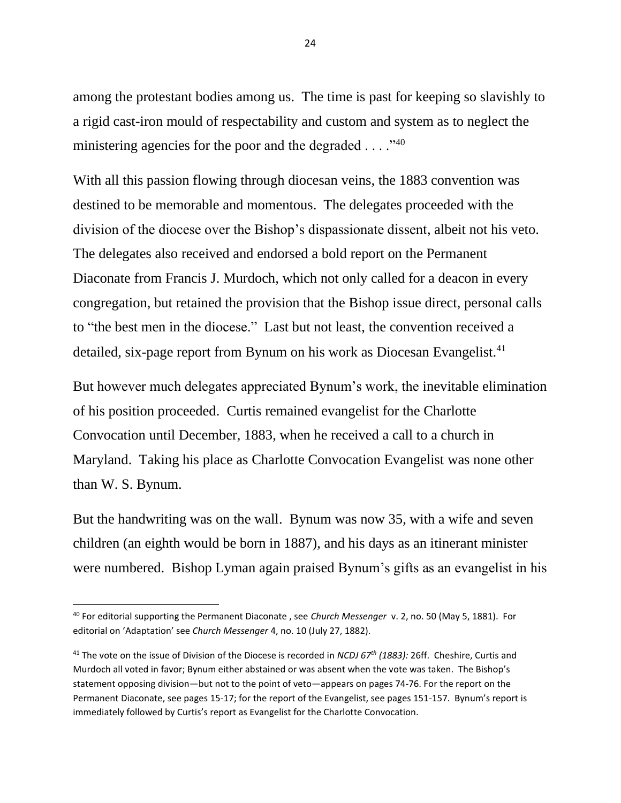among the protestant bodies among us. The time is past for keeping so slavishly to a rigid cast-iron mould of respectability and custom and system as to neglect the ministering agencies for the poor and the degraded  $\dots$ ."<sup>40</sup>

With all this passion flowing through diocesan veins, the 1883 convention was destined to be memorable and momentous. The delegates proceeded with the division of the diocese over the Bishop's dispassionate dissent, albeit not his veto. The delegates also received and endorsed a bold report on the Permanent Diaconate from Francis J. Murdoch, which not only called for a deacon in every congregation, but retained the provision that the Bishop issue direct, personal calls to "the best men in the diocese." Last but not least, the convention received a detailed, six-page report from Bynum on his work as Diocesan Evangelist.<sup>41</sup>

But however much delegates appreciated Bynum's work, the inevitable elimination of his position proceeded. Curtis remained evangelist for the Charlotte Convocation until December, 1883, when he received a call to a church in Maryland. Taking his place as Charlotte Convocation Evangelist was none other than W. S. Bynum.

But the handwriting was on the wall. Bynum was now 35, with a wife and seven children (an eighth would be born in 1887), and his days as an itinerant minister were numbered. Bishop Lyman again praised Bynum's gifts as an evangelist in his

<sup>40</sup> For editorial supporting the Permanent Diaconate , see *Church Messenger* v. 2, no. 50 (May 5, 1881). For editorial on 'Adaptation' see *Church Messenger* 4, no. 10 (July 27, 1882).

<sup>41</sup> The vote on the issue of Division of the Diocese is recorded in *NCDJ 67th (1883):* 26ff. Cheshire, Curtis and Murdoch all voted in favor; Bynum either abstained or was absent when the vote was taken. The Bishop's statement opposing division—but not to the point of veto—appears on pages 74-76. For the report on the Permanent Diaconate, see pages 15-17; for the report of the Evangelist, see pages 151-157. Bynum's report is immediately followed by Curtis's report as Evangelist for the Charlotte Convocation.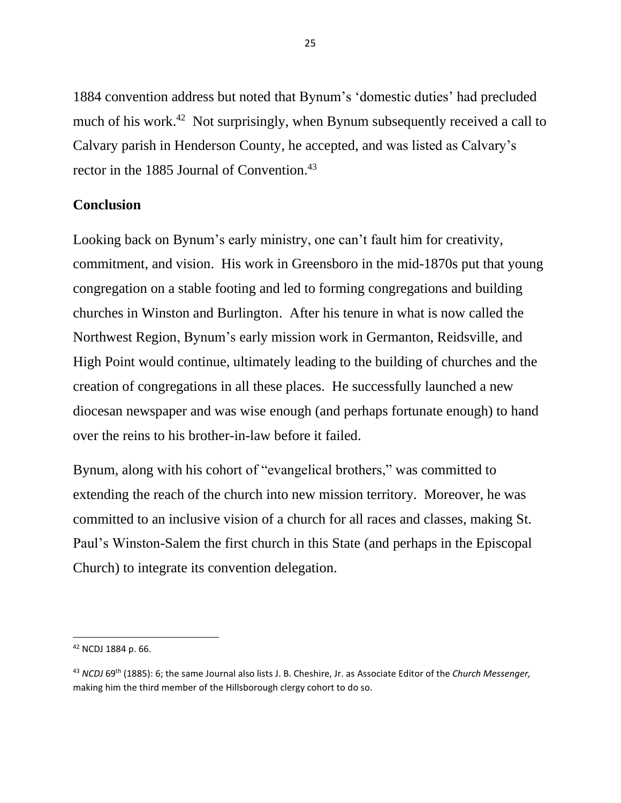1884 convention address but noted that Bynum's 'domestic duties' had precluded much of his work.<sup>42</sup> Not surprisingly, when Bynum subsequently received a call to Calvary parish in Henderson County, he accepted, and was listed as Calvary's rector in the 1885 Journal of Convention. 43

## **Conclusion**

Looking back on Bynum's early ministry, one can't fault him for creativity, commitment, and vision. His work in Greensboro in the mid-1870s put that young congregation on a stable footing and led to forming congregations and building churches in Winston and Burlington. After his tenure in what is now called the Northwest Region, Bynum's early mission work in Germanton, Reidsville, and High Point would continue, ultimately leading to the building of churches and the creation of congregations in all these places. He successfully launched a new diocesan newspaper and was wise enough (and perhaps fortunate enough) to hand over the reins to his brother-in-law before it failed.

Bynum, along with his cohort of "evangelical brothers," was committed to extending the reach of the church into new mission territory. Moreover, he was committed to an inclusive vision of a church for all races and classes, making St. Paul's Winston-Salem the first church in this State (and perhaps in the Episcopal Church) to integrate its convention delegation.

<sup>42</sup> NCDJ 1884 p. 66.

<sup>43</sup> *NCDJ* 69th (1885): 6; the same Journal also lists J. B. Cheshire, Jr. as Associate Editor of the *Church Messenger,*  making him the third member of the Hillsborough clergy cohort to do so.